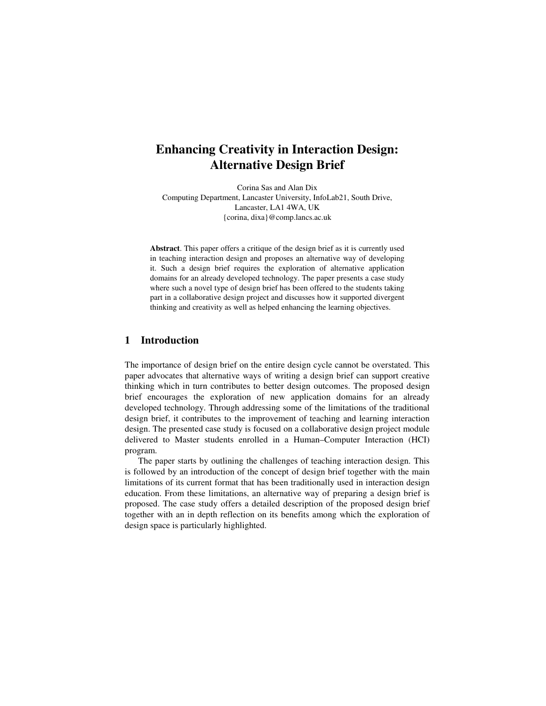# **Enhancing Creativity in Interaction Design: Alternative Design Brief**

Corina Sas and Alan Dix Computing Department, Lancaster University, InfoLab21, South Drive, Lancaster, LA1 4WA, UK {corina, dixa}@comp.lancs.ac.uk

**Abstract**. This paper offers a critique of the design brief as it is currently used in teaching interaction design and proposes an alternative way of developing it. Such a design brief requires the exploration of alternative application domains for an already developed technology. The paper presents a case study where such a novel type of design brief has been offered to the students taking part in a collaborative design project and discusses how it supported divergent thinking and creativity as well as helped enhancing the learning objectives.

## **1 Introduction**

The importance of design brief on the entire design cycle cannot be overstated. This paper advocates that alternative ways of writing a design brief can support creative thinking which in turn contributes to better design outcomes. The proposed design brief encourages the exploration of new application domains for an already developed technology. Through addressing some of the limitations of the traditional design brief, it contributes to the improvement of teaching and learning interaction design. The presented case study is focused on a collaborative design project module delivered to Master students enrolled in a Human–Computer Interaction (HCI) program.

The paper starts by outlining the challenges of teaching interaction design. This is followed by an introduction of the concept of design brief together with the main limitations of its current format that has been traditionally used in interaction design education. From these limitations, an alternative way of preparing a design brief is proposed. The case study offers a detailed description of the proposed design brief together with an in depth reflection on its benefits among which the exploration of design space is particularly highlighted.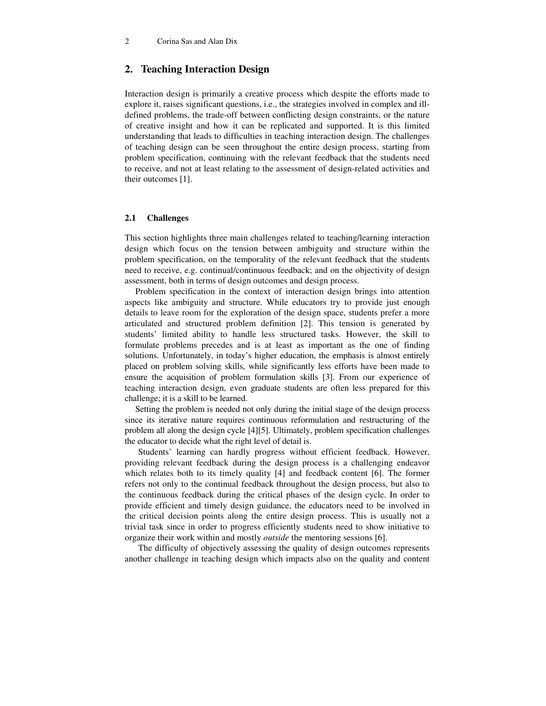## **2. Teaching Interaction Design**

Interaction design is primarily a creative process which despite the efforts made to explore it, raises significant questions, i.e., the strategies involved in complex and illdefined problems, the trade-off between conflicting design constraints, or the nature of creative insight and how it can be replicated and supported. It is this limited understanding that leads to difficulties in teaching interaction design. The challenges of teaching design can be seen throughout the entire design process, starting from problem specification, continuing with the relevant feedback that the students need to receive, and not at least relating to the assessment of design-related activities and their outcomes [1].

### **2.1 Challenges**

This section highlights three main challenges related to teaching/learning interaction design which focus on the tension between ambiguity and structure within the problem specification, on the temporality of the relevant feedback that the students need to receive, e.g. continual/continuous feedback; and on the objectivity of design assessment, both in terms of design outcomes and design process.

Problem specification in the context of interaction design brings into attention aspects like ambiguity and structure. While educators try to provide just enough details to leave room for the exploration of the design space, students prefer a more articulated and structured problem definition [2]. This tension is generated by students' limited ability to handle less structured tasks. However, the skill to formulate problems precedes and is at least as important as the one of finding solutions. Unfortunately, in today's higher education, the emphasis is almost entirely placed on problem solving skills, while significantly less efforts have been made to ensure the acquisition of problem formulation skills [3]. From our experience of teaching interaction design, even graduate students are often less prepared for this challenge; it is a skill to be learned.

Setting the problem is needed not only during the initial stage of the design process since its iterative nature requires continuous reformulation and restructuring of the problem all along the design cycle [4][5]. Ultimately, problem specification challenges the educator to decide what the right level of detail is.

Students' learning can hardly progress without efficient feedback. However, providing relevant feedback during the design process is a challenging endeavor which relates both to its timely quality [4] and feedback content [6]. The former refers not only to the continual feedback throughout the design process, but also to the continuous feedback during the critical phases of the design cycle. In order to provide efficient and timely design guidance, the educators need to be involved in the critical decision points along the entire design process. This is usually not a trivial task since in order to progress efficiently students need to show initiative to organize their work within and mostly *outside* the mentoring sessions [6].

The difficulty of objectively assessing the quality of design outcomes represents another challenge in teaching design which impacts also on the quality and content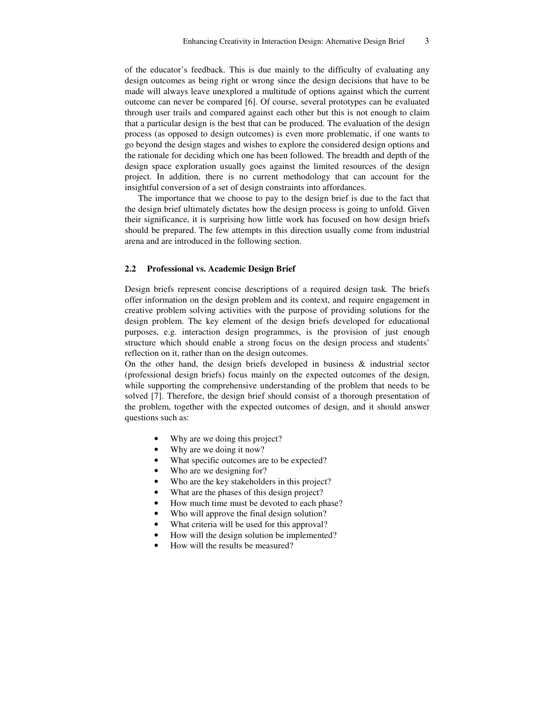of the educator's feedback. This is due mainly to the difficulty of evaluating any design outcomes as being right or wrong since the design decisions that have to be made will always leave unexplored a multitude of options against which the current outcome can never be compared [6]. Of course, several prototypes can be evaluated through user trails and compared against each other but this is not enough to claim that a particular design is the best that can be produced. The evaluation of the design process (as opposed to design outcomes) is even more problematic, if one wants to go beyond the design stages and wishes to explore the considered design options and the rationale for deciding which one has been followed. The breadth and depth of the design space exploration usually goes against the limited resources of the design project. In addition, there is no current methodology that can account for the insightful conversion of a set of design constraints into affordances.

The importance that we choose to pay to the design brief is due to the fact that the design brief ultimately dictates how the design process is going to unfold. Given their significance, it is surprising how little work has focused on how design briefs should be prepared. The few attempts in this direction usually come from industrial arena and are introduced in the following section.

## **2.2 Professional vs. Academic Design Brief**

Design briefs represent concise descriptions of a required design task. The briefs offer information on the design problem and its context, and require engagement in creative problem solving activities with the purpose of providing solutions for the design problem. The key element of the design briefs developed for educational purposes, e.g. interaction design programmes, is the provision of just enough structure which should enable a strong focus on the design process and students' reflection on it, rather than on the design outcomes.

On the other hand, the design briefs developed in business  $\&$  industrial sector (professional design briefs) focus mainly on the expected outcomes of the design, while supporting the comprehensive understanding of the problem that needs to be solved [7]. Therefore, the design brief should consist of a thorough presentation of the problem, together with the expected outcomes of design, and it should answer questions such as:

- Why are we doing this project?
- Why are we doing it now?
- What specific outcomes are to be expected?
- Who are we designing for?
- Who are the key stakeholders in this project?
- What are the phases of this design project?
- How much time must be devoted to each phase?
- Who will approve the final design solution?
- What criteria will be used for this approval?
- How will the design solution be implemented?
- How will the results be measured?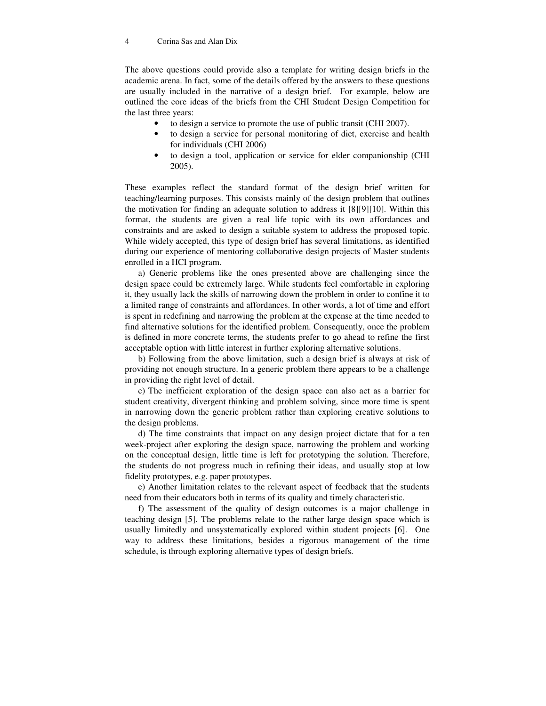The above questions could provide also a template for writing design briefs in the academic arena. In fact, some of the details offered by the answers to these questions are usually included in the narrative of a design brief. For example, below are outlined the core ideas of the briefs from the CHI Student Design Competition for the last three years:

- to design a service to promote the use of public transit (CHI 2007).
- to design a service for personal monitoring of diet, exercise and health for individuals (CHI 2006)
- to design a tool, application or service for elder companionship (CHI 2005).

These examples reflect the standard format of the design brief written for teaching/learning purposes. This consists mainly of the design problem that outlines the motivation for finding an adequate solution to address it [8][9][10]. Within this format, the students are given a real life topic with its own affordances and constraints and are asked to design a suitable system to address the proposed topic. While widely accepted, this type of design brief has several limitations, as identified during our experience of mentoring collaborative design projects of Master students enrolled in a HCI program.

a) Generic problems like the ones presented above are challenging since the design space could be extremely large. While students feel comfortable in exploring it, they usually lack the skills of narrowing down the problem in order to confine it to a limited range of constraints and affordances. In other words, a lot of time and effort is spent in redefining and narrowing the problem at the expense at the time needed to find alternative solutions for the identified problem. Consequently, once the problem is defined in more concrete terms, the students prefer to go ahead to refine the first acceptable option with little interest in further exploring alternative solutions.

b) Following from the above limitation, such a design brief is always at risk of providing not enough structure. In a generic problem there appears to be a challenge in providing the right level of detail.

c) The inefficient exploration of the design space can also act as a barrier for student creativity, divergent thinking and problem solving, since more time is spent in narrowing down the generic problem rather than exploring creative solutions to the design problems.

d) The time constraints that impact on any design project dictate that for a ten week-project after exploring the design space, narrowing the problem and working on the conceptual design, little time is left for prototyping the solution. Therefore, the students do not progress much in refining their ideas, and usually stop at low fidelity prototypes, e.g. paper prototypes.

e) Another limitation relates to the relevant aspect of feedback that the students need from their educators both in terms of its quality and timely characteristic.

f) The assessment of the quality of design outcomes is a major challenge in teaching design [5]. The problems relate to the rather large design space which is usually limitedly and unsystematically explored within student projects [6]. One way to address these limitations, besides a rigorous management of the time schedule, is through exploring alternative types of design briefs.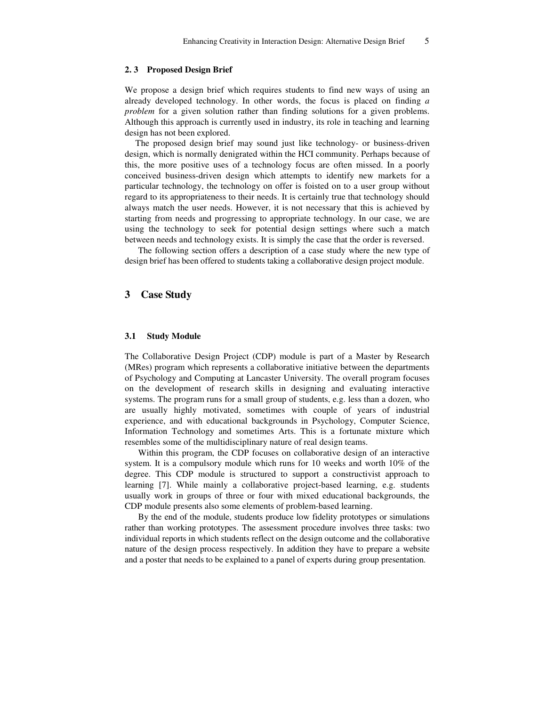#### **2. 3 Proposed Design Brief**

We propose a design brief which requires students to find new ways of using an already developed technology. In other words, the focus is placed on finding *a problem* for a given solution rather than finding solutions for a given problems. Although this approach is currently used in industry, its role in teaching and learning design has not been explored.

The proposed design brief may sound just like technology- or business-driven design, which is normally denigrated within the HCI community. Perhaps because of this, the more positive uses of a technology focus are often missed. In a poorly conceived business-driven design which attempts to identify new markets for a particular technology, the technology on offer is foisted on to a user group without regard to its appropriateness to their needs. It is certainly true that technology should always match the user needs. However, it is not necessary that this is achieved by starting from needs and progressing to appropriate technology. In our case, we are using the technology to seek for potential design settings where such a match between needs and technology exists. It is simply the case that the order is reversed.

The following section offers a description of a case study where the new type of design brief has been offered to students taking a collaborative design project module.

## **3 Case Study**

## **3.1 Study Module**

The Collaborative Design Project (CDP) module is part of a Master by Research (MRes) program which represents a collaborative initiative between the departments of Psychology and Computing at Lancaster University. The overall program focuses on the development of research skills in designing and evaluating interactive systems. The program runs for a small group of students, e.g. less than a dozen, who are usually highly motivated, sometimes with couple of years of industrial experience, and with educational backgrounds in Psychology, Computer Science, Information Technology and sometimes Arts. This is a fortunate mixture which resembles some of the multidisciplinary nature of real design teams.

Within this program, the CDP focuses on collaborative design of an interactive system. It is a compulsory module which runs for 10 weeks and worth 10% of the degree. This CDP module is structured to support a constructivist approach to learning [7]. While mainly a collaborative project-based learning, e.g. students usually work in groups of three or four with mixed educational backgrounds, the CDP module presents also some elements of problem-based learning.

By the end of the module, students produce low fidelity prototypes or simulations rather than working prototypes. The assessment procedure involves three tasks: two individual reports in which students reflect on the design outcome and the collaborative nature of the design process respectively. In addition they have to prepare a website and a poster that needs to be explained to a panel of experts during group presentation.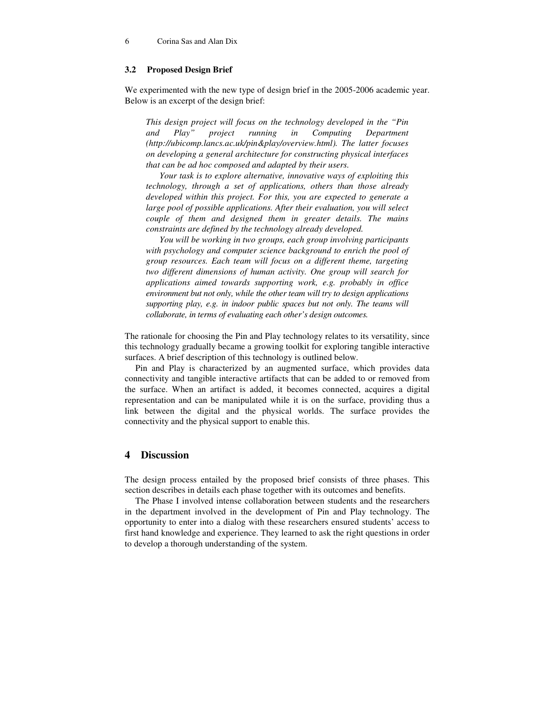### **3.2 Proposed Design Brief**

We experimented with the new type of design brief in the 2005-2006 academic year. Below is an excerpt of the design brief:

*This design project will focus on the technology developed in the "Pin and Play" project running in Computing Department (http://ubicomp.lancs.ac.uk/pin&play/overview.html). The latter focuses on developing a general architecture for constructing physical interfaces that can be ad hoc composed and adapted by their users.* 

*Your task is to explore alternative, innovative ways of exploiting this technology, through a set of applications, others than those already developed within this project. For this, you are expected to generate a large pool of possible applications. After their evaluation, you will select couple of them and designed them in greater details. The mains constraints are defined by the technology already developed.* 

*You will be working in two groups, each group involving participants with psychology and computer science background to enrich the pool of group resources. Each team will focus on a different theme, targeting two different dimensions of human activity. One group will search for applications aimed towards supporting work, e.g. probably in office environment but not only, while the other team will try to design applications supporting play, e.g. in indoor public spaces but not only. The teams will collaborate, in terms of evaluating each other's design outcomes.* 

The rationale for choosing the Pin and Play technology relates to its versatility, since this technology gradually became a growing toolkit for exploring tangible interactive surfaces. A brief description of this technology is outlined below.

Pin and Play is characterized by an augmented surface, which provides data connectivity and tangible interactive artifacts that can be added to or removed from the surface. When an artifact is added, it becomes connected, acquires a digital representation and can be manipulated while it is on the surface, providing thus a link between the digital and the physical worlds. The surface provides the connectivity and the physical support to enable this.

# **4 Discussion**

The design process entailed by the proposed brief consists of three phases. This section describes in details each phase together with its outcomes and benefits.

The Phase I involved intense collaboration between students and the researchers in the department involved in the development of Pin and Play technology. The opportunity to enter into a dialog with these researchers ensured students' access to first hand knowledge and experience. They learned to ask the right questions in order to develop a thorough understanding of the system.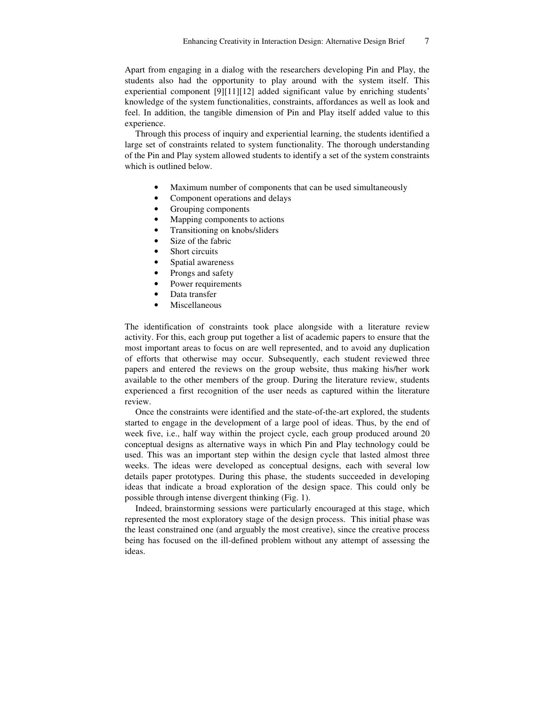Apart from engaging in a dialog with the researchers developing Pin and Play, the students also had the opportunity to play around with the system itself. This experiential component [9][11][12] added significant value by enriching students' knowledge of the system functionalities, constraints, affordances as well as look and feel. In addition, the tangible dimension of Pin and Play itself added value to this experience.

Through this process of inquiry and experiential learning, the students identified a large set of constraints related to system functionality. The thorough understanding of the Pin and Play system allowed students to identify a set of the system constraints which is outlined below.

- Maximum number of components that can be used simultaneously
- Component operations and delays
- Grouping components
- Mapping components to actions
- Transitioning on knobs/sliders
- Size of the fabric
- Short circuits
- Spatial awareness
- Prongs and safety
- Power requirements
- Data transfer
- Miscellaneous

The identification of constraints took place alongside with a literature review activity. For this, each group put together a list of academic papers to ensure that the most important areas to focus on are well represented, and to avoid any duplication of efforts that otherwise may occur. Subsequently, each student reviewed three papers and entered the reviews on the group website, thus making his/her work available to the other members of the group. During the literature review, students experienced a first recognition of the user needs as captured within the literature review.

Once the constraints were identified and the state-of-the-art explored, the students started to engage in the development of a large pool of ideas. Thus, by the end of week five, i.e., half way within the project cycle, each group produced around 20 conceptual designs as alternative ways in which Pin and Play technology could be used. This was an important step within the design cycle that lasted almost three weeks. The ideas were developed as conceptual designs, each with several low details paper prototypes. During this phase, the students succeeded in developing ideas that indicate a broad exploration of the design space. This could only be possible through intense divergent thinking (Fig. 1).

Indeed, brainstorming sessions were particularly encouraged at this stage, which represented the most exploratory stage of the design process. This initial phase was the least constrained one (and arguably the most creative), since the creative process being has focused on the ill-defined problem without any attempt of assessing the ideas.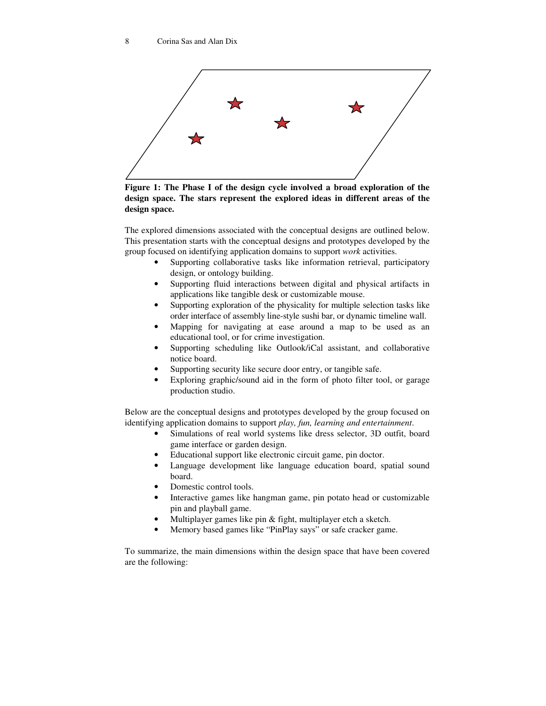

**Figure 1: The Phase I of the design cycle involved a broad exploration of the design space. The stars represent the explored ideas in different areas of the design space.** 

The explored dimensions associated with the conceptual designs are outlined below. This presentation starts with the conceptual designs and prototypes developed by the group focused on identifying application domains to support *work* activities.

- Supporting collaborative tasks like information retrieval, participatory design, or ontology building.
- Supporting fluid interactions between digital and physical artifacts in applications like tangible desk or customizable mouse.
- Supporting exploration of the physicality for multiple selection tasks like order interface of assembly line-style sushi bar, or dynamic timeline wall.
- Mapping for navigating at ease around a map to be used as an educational tool, or for crime investigation.
- Supporting scheduling like Outlook/iCal assistant, and collaborative notice board.
- Supporting security like secure door entry, or tangible safe.
- Exploring graphic/sound aid in the form of photo filter tool, or garage production studio.

Below are the conceptual designs and prototypes developed by the group focused on identifying application domains to support *play, fun, learning and entertainment*.

- Simulations of real world systems like dress selector, 3D outfit, board game interface or garden design.
- Educational support like electronic circuit game, pin doctor.
- Language development like language education board, spatial sound board.
- Domestic control tools.
- Interactive games like hangman game, pin potato head or customizable pin and playball game.
- Multiplayer games like pin & fight, multiplayer etch a sketch.
- Memory based games like "PinPlay says" or safe cracker game.

To summarize, the main dimensions within the design space that have been covered are the following: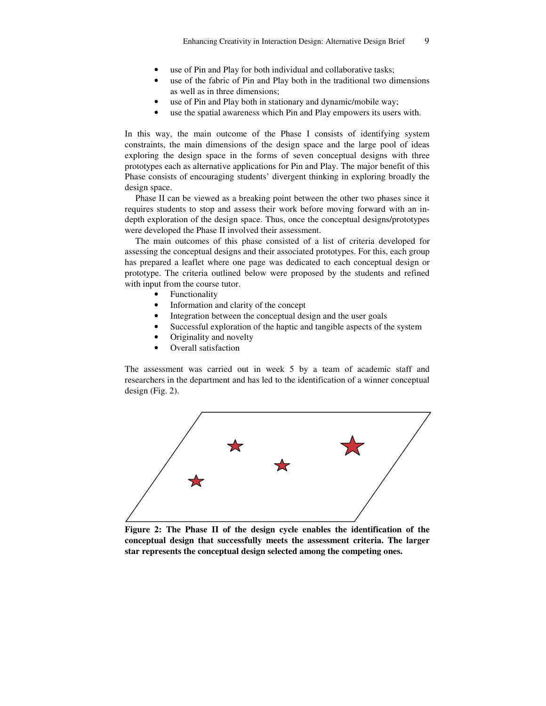- use of Pin and Play for both individual and collaborative tasks;
- use of the fabric of Pin and Play both in the traditional two dimensions as well as in three dimensions;
- use of Pin and Play both in stationary and dynamic/mobile way;
- use the spatial awareness which Pin and Play empowers its users with.

In this way, the main outcome of the Phase I consists of identifying system constraints, the main dimensions of the design space and the large pool of ideas exploring the design space in the forms of seven conceptual designs with three prototypes each as alternative applications for Pin and Play. The major benefit of this Phase consists of encouraging students' divergent thinking in exploring broadly the design space.

Phase II can be viewed as a breaking point between the other two phases since it requires students to stop and assess their work before moving forward with an indepth exploration of the design space. Thus, once the conceptual designs/prototypes were developed the Phase II involved their assessment.

The main outcomes of this phase consisted of a list of criteria developed for assessing the conceptual designs and their associated prototypes. For this, each group has prepared a leaflet where one page was dedicated to each conceptual design or prototype. The criteria outlined below were proposed by the students and refined with input from the course tutor.

- Functionality
- Information and clarity of the concept
- Integration between the conceptual design and the user goals
- Successful exploration of the haptic and tangible aspects of the system
- Originality and novelty
- Overall satisfaction

The assessment was carried out in week 5 by a team of academic staff and researchers in the department and has led to the identification of a winner conceptual design (Fig. 2).



**Figure 2: The Phase II of the design cycle enables the identification of the conceptual design that successfully meets the assessment criteria. The larger star represents the conceptual design selected among the competing ones.**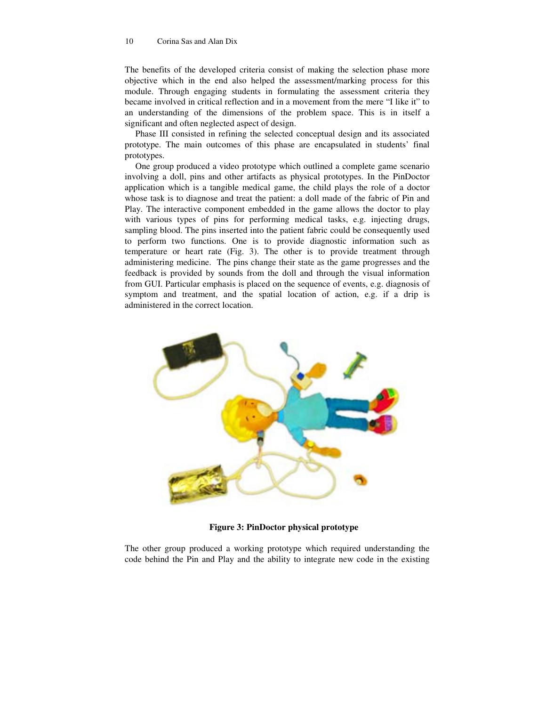The benefits of the developed criteria consist of making the selection phase more objective which in the end also helped the assessment/marking process for this module. Through engaging students in formulating the assessment criteria they became involved in critical reflection and in a movement from the mere "I like it" to an understanding of the dimensions of the problem space. This is in itself a significant and often neglected aspect of design.

Phase III consisted in refining the selected conceptual design and its associated prototype. The main outcomes of this phase are encapsulated in students' final prototypes.

One group produced a video prototype which outlined a complete game scenario involving a doll, pins and other artifacts as physical prototypes. In the PinDoctor application which is a tangible medical game, the child plays the role of a doctor whose task is to diagnose and treat the patient: a doll made of the fabric of Pin and Play. The interactive component embedded in the game allows the doctor to play with various types of pins for performing medical tasks, e.g. injecting drugs, sampling blood. The pins inserted into the patient fabric could be consequently used to perform two functions. One is to provide diagnostic information such as temperature or heart rate (Fig. 3). The other is to provide treatment through administering medicine. The pins change their state as the game progresses and the feedback is provided by sounds from the doll and through the visual information from GUI. Particular emphasis is placed on the sequence of events, e.g. diagnosis of symptom and treatment, and the spatial location of action, e.g. if a drip is administered in the correct location.



**Figure 3: PinDoctor physical prototype** 

The other group produced a working prototype which required understanding the code behind the Pin and Play and the ability to integrate new code in the existing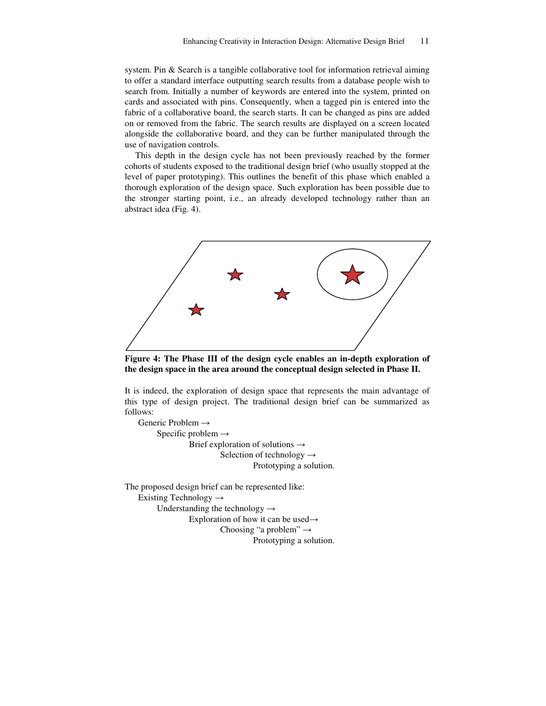system. Pin & Search is a tangible collaborative tool for information retrieval aiming to offer a standard interface outputting search results from a database people wish to search from. Initially a number of keywords are entered into the system, printed on cards and associated with pins. Consequently, when a tagged pin is entered into the fabric of a collaborative board, the search starts. It can be changed as pins are added on or removed from the fabric. The search results are displayed on a screen located alongside the collaborative board, and they can be further manipulated through the use of navigation controls.

This depth in the design cycle has not been previously reached by the former cohorts of students exposed to the traditional design brief (who usually stopped at the level of paper prototyping). This outlines the benefit of this phase which enabled a thorough exploration of the design space. Such exploration has been possible due to the stronger starting point, i.e., an already developed technology rather than an abstract idea (Fig. 4).



**Figure 4: The Phase III of the design cycle enables an in-depth exploration of the design space in the area around the conceptual design selected in Phase II.** 

It is indeed, the exploration of design space that represents the main advantage of this type of design project. The traditional design brief can be summarized as follows:

```
Generic Problem →
          Specific problem \rightarrowBrief exploration of solutions \rightarrowSelection of technology \rightarrowPrototyping a solution. 
The proposed design brief can be represented like:
```
Existing Technology  $\rightarrow$ Understanding the technology  $\rightarrow$ Exploration of how it can be used $\rightarrow$ Choosing "a problem"  $\rightarrow$ Prototyping a solution.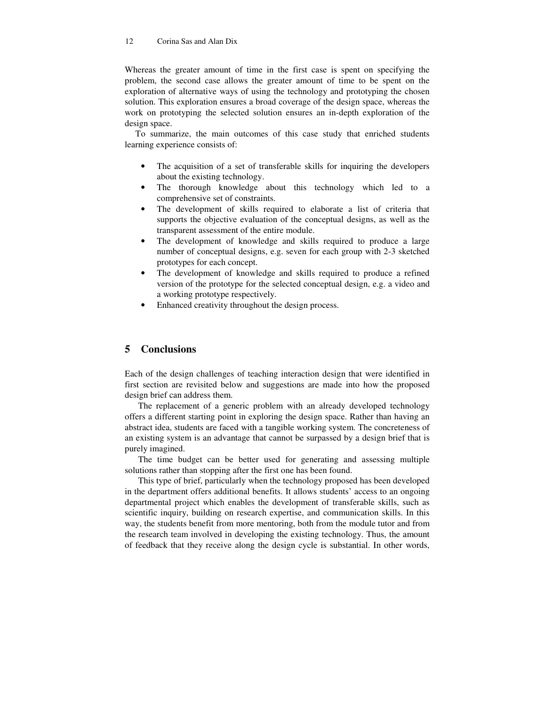Whereas the greater amount of time in the first case is spent on specifying the problem, the second case allows the greater amount of time to be spent on the exploration of alternative ways of using the technology and prototyping the chosen solution. This exploration ensures a broad coverage of the design space, whereas the work on prototyping the selected solution ensures an in-depth exploration of the design space.

To summarize, the main outcomes of this case study that enriched students learning experience consists of:

- The acquisition of a set of transferable skills for inquiring the developers about the existing technology.
- The thorough knowledge about this technology which led to a comprehensive set of constraints.
- The development of skills required to elaborate a list of criteria that supports the objective evaluation of the conceptual designs, as well as the transparent assessment of the entire module.
- The development of knowledge and skills required to produce a large number of conceptual designs, e.g. seven for each group with 2-3 sketched prototypes for each concept.
- The development of knowledge and skills required to produce a refined version of the prototype for the selected conceptual design, e.g. a video and a working prototype respectively.
- Enhanced creativity throughout the design process.

## **5 Conclusions**

Each of the design challenges of teaching interaction design that were identified in first section are revisited below and suggestions are made into how the proposed design brief can address them.

The replacement of a generic problem with an already developed technology offers a different starting point in exploring the design space. Rather than having an abstract idea, students are faced with a tangible working system. The concreteness of an existing system is an advantage that cannot be surpassed by a design brief that is purely imagined.

The time budget can be better used for generating and assessing multiple solutions rather than stopping after the first one has been found.

This type of brief, particularly when the technology proposed has been developed in the department offers additional benefits. It allows students' access to an ongoing departmental project which enables the development of transferable skills, such as scientific inquiry, building on research expertise, and communication skills. In this way, the students benefit from more mentoring, both from the module tutor and from the research team involved in developing the existing technology. Thus, the amount of feedback that they receive along the design cycle is substantial. In other words,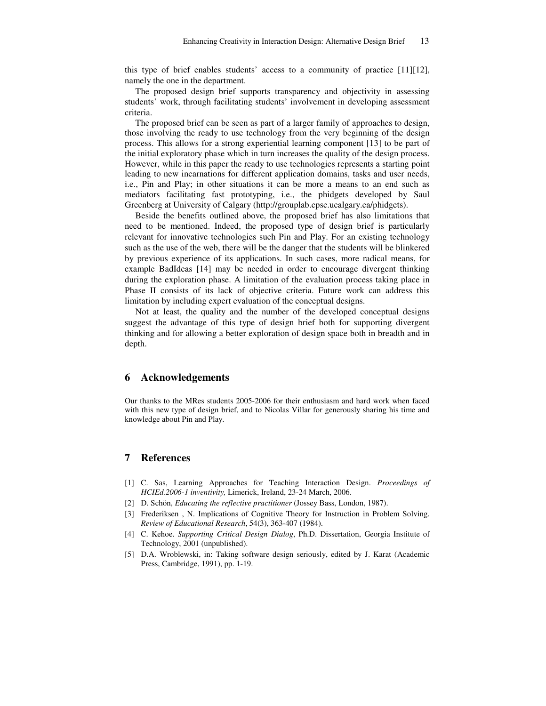this type of brief enables students' access to a community of practice [11][12], namely the one in the department.

The proposed design brief supports transparency and objectivity in assessing students' work, through facilitating students' involvement in developing assessment criteria.

The proposed brief can be seen as part of a larger family of approaches to design, those involving the ready to use technology from the very beginning of the design process. This allows for a strong experiential learning component [13] to be part of the initial exploratory phase which in turn increases the quality of the design process. However, while in this paper the ready to use technologies represents a starting point leading to new incarnations for different application domains, tasks and user needs, i.e., Pin and Play; in other situations it can be more a means to an end such as mediators facilitating fast prototyping, i.e., the phidgets developed by Saul Greenberg at University of Calgary (http://grouplab.cpsc.ucalgary.ca/phidgets).

Beside the benefits outlined above, the proposed brief has also limitations that need to be mentioned. Indeed, the proposed type of design brief is particularly relevant for innovative technologies such Pin and Play. For an existing technology such as the use of the web, there will be the danger that the students will be blinkered by previous experience of its applications. In such cases, more radical means, for example BadIdeas [14] may be needed in order to encourage divergent thinking during the exploration phase. A limitation of the evaluation process taking place in Phase II consists of its lack of objective criteria. Future work can address this limitation by including expert evaluation of the conceptual designs.

Not at least, the quality and the number of the developed conceptual designs suggest the advantage of this type of design brief both for supporting divergent thinking and for allowing a better exploration of design space both in breadth and in depth.

## **6 Acknowledgements**

Our thanks to the MRes students 2005-2006 for their enthusiasm and hard work when faced with this new type of design brief, and to Nicolas Villar for generously sharing his time and knowledge about Pin and Play.

# **7 References**

- [1] C. Sas, Learning Approaches for Teaching Interaction Design. *Proceedings of HCIEd.2006-1 inventivity,* Limerick, Ireland, 23-24 March, 2006.
- [2] D. Schön, *Educating the reflective practitioner* (Jossey Bass, London, 1987).
- [3] Frederiksen , N. Implications of Cognitive Theory for Instruction in Problem Solving. *Review of Educational Research*, 54(3), 363-407 (1984).
- [4] C. Kehoe. *Supporting Critical Design Dialog*, Ph.D. Dissertation, Georgia Institute of Technology, 2001 (unpublished).
- [5] D.A. Wroblewski, in: Taking software design seriously, edited by J. Karat (Academic Press, Cambridge, 1991), pp. 1-19.